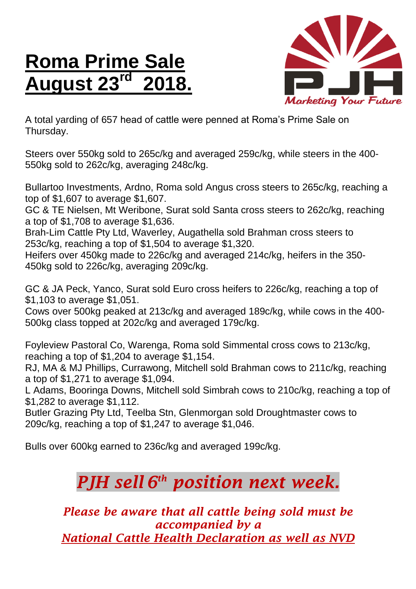## **Roma Prime Sale August 23 rd 2018.**



A total yarding of 657 head of cattle were penned at Roma's Prime Sale on Thursday.

Steers over 550kg sold to 265c/kg and averaged 259c/kg, while steers in the 400- 550kg sold to 262c/kg, averaging 248c/kg.

Bullartoo Investments, Ardno, Roma sold Angus cross steers to 265c/kg, reaching a top of \$1,607 to average \$1,607.

GC & TE Nielsen, Mt Weribone, Surat sold Santa cross steers to 262c/kg, reaching a top of \$1,708 to average \$1,636.

Brah-Lim Cattle Pty Ltd, Waverley, Augathella sold Brahman cross steers to 253c/kg, reaching a top of \$1,504 to average \$1,320.

Heifers over 450kg made to 226c/kg and averaged 214c/kg, heifers in the 350- 450kg sold to 226c/kg, averaging 209c/kg.

GC & JA Peck, Yanco, Surat sold Euro cross heifers to 226c/kg, reaching a top of \$1,103 to average \$1,051.

Cows over 500kg peaked at 213c/kg and averaged 189c/kg, while cows in the 400- 500kg class topped at 202c/kg and averaged 179c/kg.

Foyleview Pastoral Co, Warenga, Roma sold Simmental cross cows to 213c/kg, reaching a top of \$1,204 to average \$1,154.

RJ, MA & MJ Phillips, Currawong, Mitchell sold Brahman cows to 211c/kg, reaching a top of \$1,271 to average \$1,094.

L Adams, Booringa Downs, Mitchell sold Simbrah cows to 210c/kg, reaching a top of \$1,282 to average \$1,112.

Butler Grazing Pty Ltd, Teelba Stn, Glenmorgan sold Droughtmaster cows to 209c/kg, reaching a top of \$1,247 to average \$1,046.

Bulls over 600kg earned to 236c/kg and averaged 199c/kg.

## *PJH sell 6 th position next week.*

*Please be aware that all cattle being sold must be accompanied by a National Cattle Health Declaration as well as NVD*